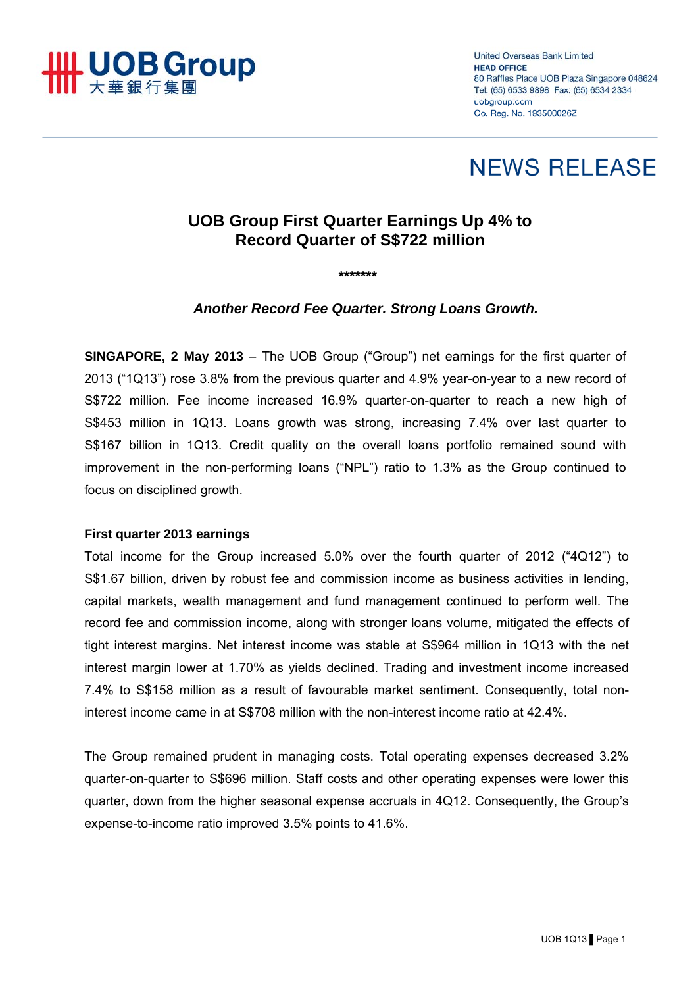

**United Overseas Bank Limited HEAD OFFICE** 80 Raffles Place UOB Plaza Singapore 048624 Tel: (65) 6533 9898 Fax: (65) 6534 2334 uobgroup.com Co. Reg. No. 193500026Z

# **NEWS RELEASE**

## **UOB Group First Quarter Earnings Up 4% to Record Quarter of S\$722 million**

*\*\*\*\*\*\*\** 

*Another Record Fee Quarter. Strong Loans Growth.* 

**SINGAPORE, 2 May 2013** – The UOB Group ("Group") net earnings for the first quarter of 2013 ("1Q13") rose 3.8% from the previous quarter and 4.9% year-on-year to a new record of S\$722 million. Fee income increased 16.9% quarter-on-quarter to reach a new high of S\$453 million in 1Q13. Loans growth was strong, increasing 7.4% over last quarter to S\$167 billion in 1Q13. Credit quality on the overall loans portfolio remained sound with improvement in the non-performing loans ("NPL") ratio to 1.3% as the Group continued to focus on disciplined growth.

#### **First quarter 2013 earnings**

Total income for the Group increased 5.0% over the fourth quarter of 2012 ("4Q12") to S\$1.67 billion, driven by robust fee and commission income as business activities in lending, capital markets, wealth management and fund management continued to perform well. The record fee and commission income, along with stronger loans volume, mitigated the effects of tight interest margins. Net interest income was stable at S\$964 million in 1Q13 with the net interest margin lower at 1.70% as yields declined. Trading and investment income increased 7.4% to S\$158 million as a result of favourable market sentiment. Consequently, total noninterest income came in at S\$708 million with the non-interest income ratio at 42.4%.

The Group remained prudent in managing costs. Total operating expenses decreased 3.2% quarter-on-quarter to S\$696 million. Staff costs and other operating expenses were lower this quarter, down from the higher seasonal expense accruals in 4Q12. Consequently, the Group's expense-to-income ratio improved 3.5% points to 41.6%.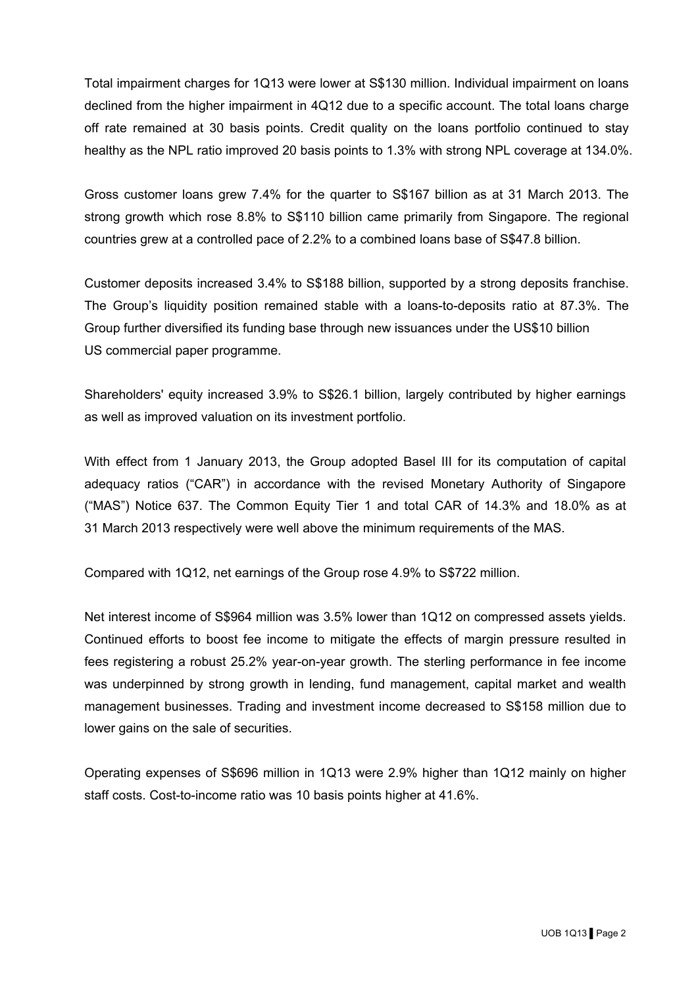Total impairment charges for 1Q13 were lower at S\$130 million. Individual impairment on loans declined from the higher impairment in 4Q12 due to a specific account. The total loans charge off rate remained at 30 basis points. Credit quality on the loans portfolio continued to stay healthy as the NPL ratio improved 20 basis points to 1.3% with strong NPL coverage at 134.0%.

Gross customer loans grew 7.4% for the quarter to S\$167 billion as at 31 March 2013. The strong growth which rose 8.8% to S\$110 billion came primarily from Singapore. The regional countries grew at a controlled pace of 2.2% to a combined loans base of S\$47.8 billion.

Customer deposits increased 3.4% to S\$188 billion, supported by a strong deposits franchise. The Group's liquidity position remained stable with a loans-to-deposits ratio at 87.3%. The Group further diversified its funding base through new issuances under the US\$10 billion US commercial paper programme.

Shareholders' equity increased 3.9% to S\$26.1 billion, largely contributed by higher earnings as well as improved valuation on its investment portfolio.

With effect from 1 January 2013, the Group adopted Basel III for its computation of capital adequacy ratios ("CAR") in accordance with the revised Monetary Authority of Singapore ("MAS") Notice 637. The Common Equity Tier 1 and total CAR of 14.3% and 18.0% as at 31 March 2013 respectively were well above the minimum requirements of the MAS.

Compared with 1Q12, net earnings of the Group rose 4.9% to S\$722 million.

Net interest income of S\$964 million was 3.5% lower than 1Q12 on compressed assets yields. Continued efforts to boost fee income to mitigate the effects of margin pressure resulted in fees registering a robust 25.2% year-on-year growth. The sterling performance in fee income was underpinned by strong growth in lending, fund management, capital market and wealth management businesses. Trading and investment income decreased to S\$158 million due to lower gains on the sale of securities.

Operating expenses of S\$696 million in 1Q13 were 2.9% higher than 1Q12 mainly on higher staff costs. Cost-to-income ratio was 10 basis points higher at 41.6%.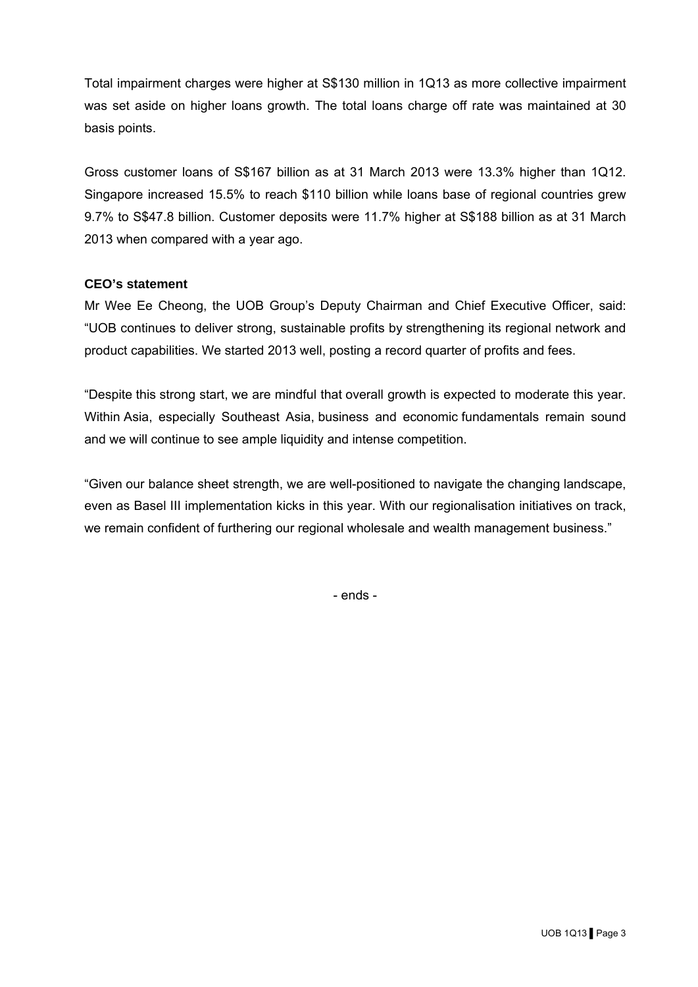Total impairment charges were higher at S\$130 million in 1Q13 as more collective impairment was set aside on higher loans growth. The total loans charge off rate was maintained at 30 basis points.

Gross customer loans of S\$167 billion as at 31 March 2013 were 13.3% higher than 1Q12. Singapore increased 15.5% to reach \$110 billion while loans base of regional countries grew 9.7% to S\$47.8 billion. Customer deposits were 11.7% higher at S\$188 billion as at 31 March 2013 when compared with a year ago.

#### **CEO's statement**

Mr Wee Ee Cheong, the UOB Group's Deputy Chairman and Chief Executive Officer, said: "UOB continues to deliver strong, sustainable profits by strengthening its regional network and product capabilities. We started 2013 well, posting a record quarter of profits and fees.

"Despite this strong start, we are mindful that overall growth is expected to moderate this year. Within Asia, especially Southeast Asia, business and economic fundamentals remain sound and we will continue to see ample liquidity and intense competition.

"Given our balance sheet strength, we are well-positioned to navigate the changing landscape, even as Basel III implementation kicks in this year. With our regionalisation initiatives on track, we remain confident of furthering our regional wholesale and wealth management business."

- ends -